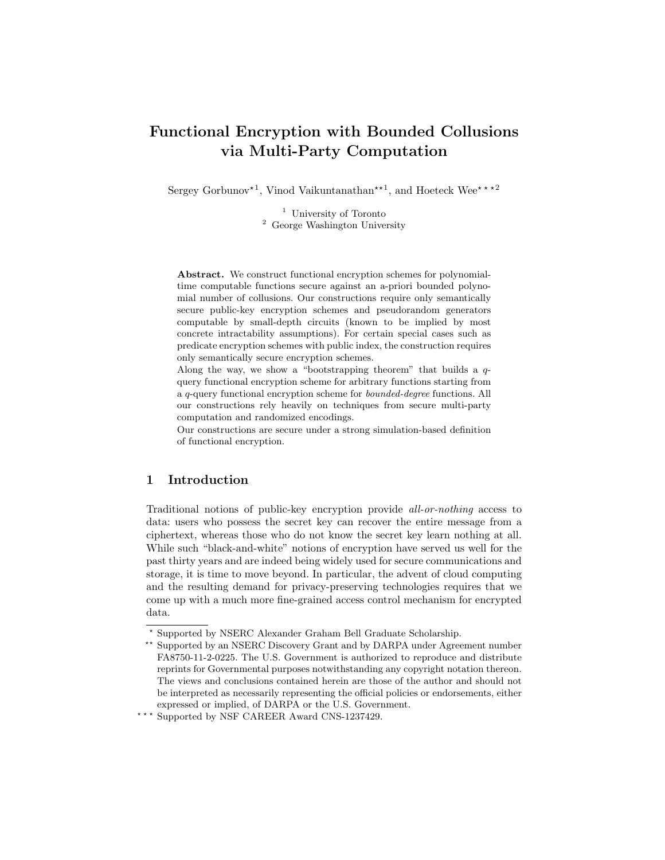# Functional Encryption with Bounded Collusions via Multi-Party Computation

Sergey Gorbunov<sup>\*1</sup>, Vinod Vaikuntanathan<sup>\*\*1</sup>, and Hoeteck Wee<sup>\*\*\*2</sup>

<sup>1</sup> University of Toronto <sup>2</sup> George Washington University

Abstract. We construct functional encryption schemes for polynomialtime computable functions secure against an a-priori bounded polynomial number of collusions. Our constructions require only semantically secure public-key encryption schemes and pseudorandom generators computable by small-depth circuits (known to be implied by most concrete intractability assumptions). For certain special cases such as predicate encryption schemes with public index, the construction requires only semantically secure encryption schemes.

Along the way, we show a "bootstrapping theorem" that builds a  $q$ query functional encryption scheme for arbitrary functions starting from a q-query functional encryption scheme for bounded-degree functions. All our constructions rely heavily on techniques from secure multi-party computation and randomized encodings.

Our constructions are secure under a strong simulation-based definition of functional encryption.

### 1 Introduction

Traditional notions of public-key encryption provide all-or-nothing access to data: users who possess the secret key can recover the entire message from a ciphertext, whereas those who do not know the secret key learn nothing at all. While such "black-and-white" notions of encryption have served us well for the past thirty years and are indeed being widely used for secure communications and storage, it is time to move beyond. In particular, the advent of cloud computing and the resulting demand for privacy-preserving technologies requires that we come up with a much more fine-grained access control mechanism for encrypted data.

<sup>?</sup> Supported by NSERC Alexander Graham Bell Graduate Scholarship.

<sup>\*\*</sup> Supported by an NSERC Discovery Grant and by DARPA under Agreement number FA8750-11-2-0225. The U.S. Government is authorized to reproduce and distribute reprints for Governmental purposes notwithstanding any copyright notation thereon. The views and conclusions contained herein are those of the author and should not be interpreted as necessarily representing the official policies or endorsements, either expressed or implied, of DARPA or the U.S. Government.

<sup>\*\*\*</sup> Supported by NSF CAREER Award CNS-1237429.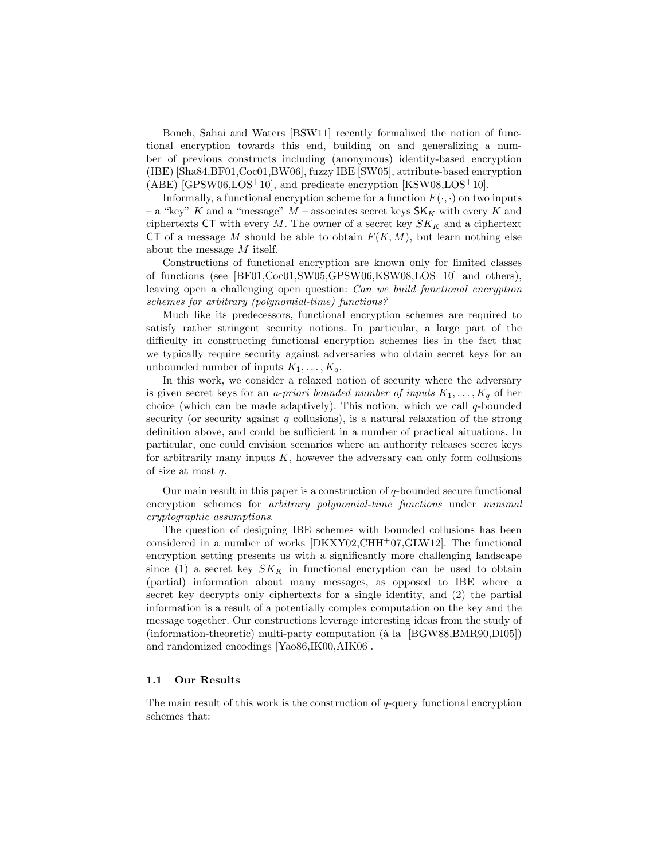Boneh, Sahai and Waters [BSW11] recently formalized the notion of functional encryption towards this end, building on and generalizing a number of previous constructs including (anonymous) identity-based encryption (IBE) [Sha84,BF01,Coc01,BW06], fuzzy IBE [SW05], attribute-based encryption  $(ABE)$  [GPSW06, LOS<sup>+</sup>10], and predicate encryption [KSW08, LOS<sup>+</sup>10].

Informally, a functional encryption scheme for a function  $F(\cdot, \cdot)$  on two inputs – a "key" K and a "message"  $M$  – associates secret keys  $\mathsf{SK}_K$  with every K and ciphertexts CT with every  $M$ . The owner of a secret key  $SK_K$  and a ciphertext CT of a message M should be able to obtain  $F(K, M)$ , but learn nothing else about the message M itself.

Constructions of functional encryption are known only for limited classes of functions (see [BF01,Coc01,SW05,GPSW06,KSW08,LOS+10] and others), leaving open a challenging open question: Can we build functional encryption schemes for arbitrary (polynomial-time) functions?

Much like its predecessors, functional encryption schemes are required to satisfy rather stringent security notions. In particular, a large part of the difficulty in constructing functional encryption schemes lies in the fact that we typically require security against adversaries who obtain secret keys for an unbounded number of inputs  $K_1, \ldots, K_q$ .

In this work, we consider a relaxed notion of security where the adversary is given secret keys for an *a-priori bounded number of inputs*  $K_1, \ldots, K_q$  of her choice (which can be made adaptively). This notion, which we call  $q$ -bounded security (or security against  $q$  collusions), is a natural relaxation of the strong definition above, and could be sufficient in a number of practical aituations. In particular, one could envision scenarios where an authority releases secret keys for arbitrarily many inputs  $K$ , however the adversary can only form collusions of size at most q.

Our main result in this paper is a construction of q-bounded secure functional encryption schemes for arbitrary polynomial-time functions under minimal cryptographic assumptions.

The question of designing IBE schemes with bounded collusions has been considered in a number of works [DKXY02,CHH+07,GLW12]. The functional encryption setting presents us with a significantly more challenging landscape since (1) a secret key  $SK_K$  in functional encryption can be used to obtain (partial) information about many messages, as opposed to IBE where a secret key decrypts only ciphertexts for a single identity, and (2) the partial information is a result of a potentially complex computation on the key and the message together. Our constructions leverage interesting ideas from the study of  $(information-theoretic)$  multi-party computation (à la [BGW88,BMR90,DI05]) and randomized encodings [Yao86,IK00,AIK06].

### 1.1 Our Results

The main result of this work is the construction of  $q$ -query functional encryption schemes that: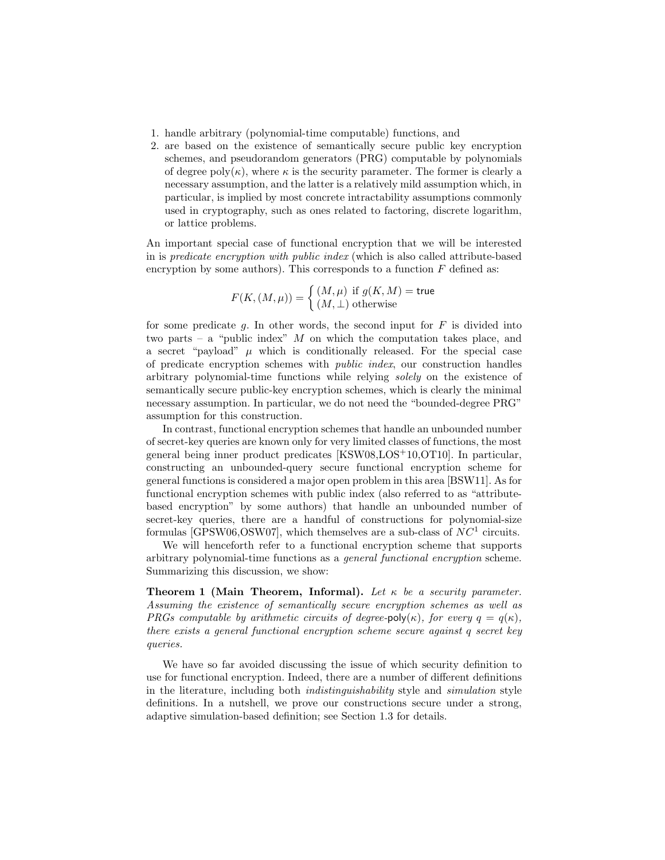- 1. handle arbitrary (polynomial-time computable) functions, and
- 2. are based on the existence of semantically secure public key encryption schemes, and pseudorandom generators (PRG) computable by polynomials of degree  $\text{poly}(\kappa)$ , where  $\kappa$  is the security parameter. The former is clearly a necessary assumption, and the latter is a relatively mild assumption which, in particular, is implied by most concrete intractability assumptions commonly used in cryptography, such as ones related to factoring, discrete logarithm, or lattice problems.

An important special case of functional encryption that we will be interested in is predicate encryption with public index (which is also called attribute-based encryption by some authors). This corresponds to a function  $F$  defined as:

$$
F(K, (M, \mu)) = \begin{cases} (M, \mu) & \text{if } g(K, M) = \text{true} \\ (M, \bot) & \text{otherwise} \end{cases}
$$

for some predicate  $q$ . In other words, the second input for  $F$  is divided into two parts – a "public index"  $M$  on which the computation takes place, and a secret "payload"  $\mu$  which is conditionally released. For the special case of predicate encryption schemes with public index, our construction handles arbitrary polynomial-time functions while relying solely on the existence of semantically secure public-key encryption schemes, which is clearly the minimal necessary assumption. In particular, we do not need the "bounded-degree PRG" assumption for this construction.

In contrast, functional encryption schemes that handle an unbounded number of secret-key queries are known only for very limited classes of functions, the most general being inner product predicates [KSW08,LOS+10,OT10]. In particular, constructing an unbounded-query secure functional encryption scheme for general functions is considered a major open problem in this area [BSW11]. As for functional encryption schemes with public index (also referred to as "attributebased encryption" by some authors) that handle an unbounded number of secret-key queries, there are a handful of constructions for polynomial-size formulas [GPSW06,OSW07], which themselves are a sub-class of  $NC<sup>1</sup>$  circuits.

We will henceforth refer to a functional encryption scheme that supports arbitrary polynomial-time functions as a general functional encryption scheme. Summarizing this discussion, we show:

Theorem 1 (Main Theorem, Informal). Let  $\kappa$  be a security parameter. Assuming the existence of semantically secure encryption schemes as well as PRGs computable by arithmetic circuits of degree-poly( $\kappa$ ), for every  $q = q(\kappa)$ , there exists a general functional encryption scheme secure against q secret key queries.

We have so far avoided discussing the issue of which security definition to use for functional encryption. Indeed, there are a number of different definitions in the literature, including both indistinguishability style and simulation style definitions. In a nutshell, we prove our constructions secure under a strong, adaptive simulation-based definition; see Section 1.3 for details.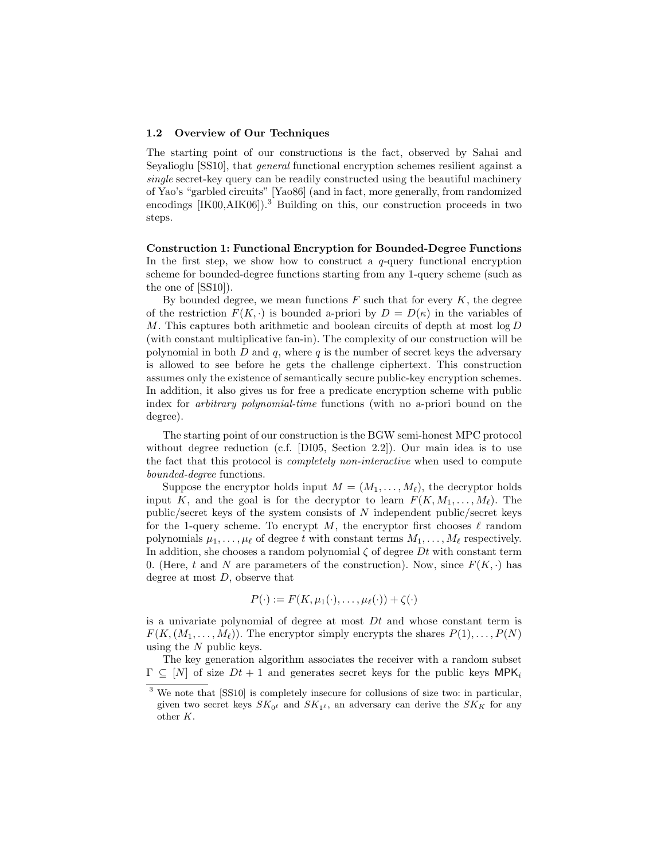#### 1.2 Overview of Our Techniques

The starting point of our constructions is the fact, observed by Sahai and Seyalioglu [SS10], that general functional encryption schemes resilient against a single secret-key query can be readily constructed using the beautiful machinery of Yao's "garbled circuits" [Yao86] (and in fact, more generally, from randomized encodings [IK00,AIK06]).<sup>3</sup> Building on this, our construction proceeds in two steps.

Construction 1: Functional Encryption for Bounded-Degree Functions In the first step, we show how to construct a  $q$ -query functional encryption scheme for bounded-degree functions starting from any 1-query scheme (such as the one of [SS10]).

By bounded degree, we mean functions  $F$  such that for every  $K$ , the degree of the restriction  $F(K, \cdot)$  is bounded a-priori by  $D = D(\kappa)$  in the variables of M. This captures both arithmetic and boolean circuits of depth at most log D (with constant multiplicative fan-in). The complexity of our construction will be polynomial in both  $D$  and  $q$ , where  $q$  is the number of secret keys the adversary is allowed to see before he gets the challenge ciphertext. This construction assumes only the existence of semantically secure public-key encryption schemes. In addition, it also gives us for free a predicate encryption scheme with public index for arbitrary polynomial-time functions (with no a-priori bound on the degree).

The starting point of our construction is the BGW semi-honest MPC protocol without degree reduction (c.f. [DI05, Section 2.2]). Our main idea is to use the fact that this protocol is completely non-interactive when used to compute bounded-degree functions.

Suppose the encryptor holds input  $M = (M_1, \ldots, M_\ell)$ , the decryptor holds input K, and the goal is for the decryptor to learn  $F(K, M_1, \ldots, M_\ell)$ . The public/secret keys of the system consists of  $N$  independent public/secret keys for the 1-query scheme. To encrypt M, the encryptor first chooses  $\ell$  random polynomials  $\mu_1, \ldots, \mu_\ell$  of degree t with constant terms  $M_1, \ldots, M_\ell$  respectively. In addition, she chooses a random polynomial  $\zeta$  of degree  $Dt$  with constant term 0. (Here, t and N are parameters of the construction). Now, since  $F(K, \cdot)$  has degree at most D, observe that

$$
P(\cdot) := F(K, \mu_1(\cdot), \dots, \mu_\ell(\cdot)) + \zeta(\cdot)
$$

is a univariate polynomial of degree at most  $Dt$  and whose constant term is  $F(K,(M_1,\ldots,M_\ell))$ . The encryptor simply encrypts the shares  $P(1),\ldots,P(N)$ using the  $N$  public keys.

The key generation algorithm associates the receiver with a random subset  $\Gamma \subset [N]$  of size  $Dt + 1$  and generates secret keys for the public keys MPK<sub>i</sub>

<sup>&</sup>lt;sup>3</sup> We note that [SS10] is completely insecure for collusions of size two: in particular, given two secret keys  $SK_{0^{\ell}}$  and  $SK_{1^{\ell}}$ , an adversary can derive the  $SK_K$  for any other K.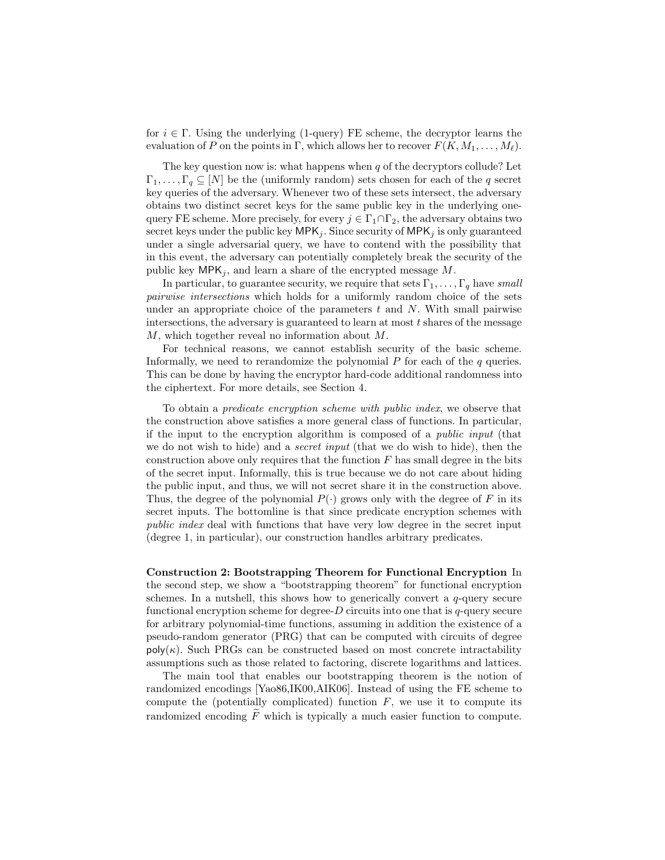for  $i \in \Gamma$ . Using the underlying (1-query) FE scheme, the decryptor learns the evaluation of P on the points in Γ, which allows her to recover  $F(K, M_1, \ldots, M_\ell)$ .

The key question now is: what happens when  $q$  of the decryptors collude? Let  $\Gamma_1, \ldots, \Gamma_q \subseteq [N]$  be the (uniformly random) sets chosen for each of the q secret key queries of the adversary. Whenever two of these sets intersect, the adversary obtains two distinct secret keys for the same public key in the underlying onequery FE scheme. More precisely, for every  $j \in \Gamma_1 \cap \Gamma_2$ , the adversary obtains two secret keys under the public key MPK<sub>j</sub>. Since security of MPK<sub>j</sub> is only guaranteed under a single adversarial query, we have to contend with the possibility that in this event, the adversary can potentially completely break the security of the public key  $\mathsf{MPK}_i$ , and learn a share of the encrypted message M.

In particular, to guarantee security, we require that sets  $\Gamma_1, \ldots, \Gamma_q$  have small pairwise intersections which holds for a uniformly random choice of the sets under an appropriate choice of the parameters  $t$  and  $N$ . With small pairwise intersections, the adversary is guaranteed to learn at most  $t$  shares of the message M, which together reveal no information about M.

For technical reasons, we cannot establish security of the basic scheme. Informally, we need to rerandomize the polynomial  $P$  for each of the  $q$  queries. This can be done by having the encryptor hard-code additional randomness into the ciphertext. For more details, see Section 4.

To obtain a predicate encryption scheme with public index, we observe that the construction above satisfies a more general class of functions. In particular, if the input to the encryption algorithm is composed of a public input (that we do not wish to hide) and a secret input (that we do wish to hide), then the construction above only requires that the function  $F$  has small degree in the bits of the secret input. Informally, this is true because we do not care about hiding the public input, and thus, we will not secret share it in the construction above. Thus, the degree of the polynomial  $P(\cdot)$  grows only with the degree of F in its secret inputs. The bottomline is that since predicate encryption schemes with public index deal with functions that have very low degree in the secret input (degree 1, in particular), our construction handles arbitrary predicates.

Construction 2: Bootstrapping Theorem for Functional Encryption In the second step, we show a "bootstrapping theorem" for functional encryption schemes. In a nutshell, this shows how to generically convert a  $q$ -query secure functional encryption scheme for degree- $D$  circuits into one that is  $q$ -query secure for arbitrary polynomial-time functions, assuming in addition the existence of a pseudo-random generator (PRG) that can be computed with circuits of degree  $\text{poly}(\kappa)$ . Such PRGs can be constructed based on most concrete intractability assumptions such as those related to factoring, discrete logarithms and lattices.

The main tool that enables our bootstrapping theorem is the notion of randomized encodings [Yao86,IK00,AIK06]. Instead of using the FE scheme to compute the (potentially complicated) function  $F$ , we use it to compute its randomized encoding  $\widetilde{F}$  which is typically a much easier function to compute.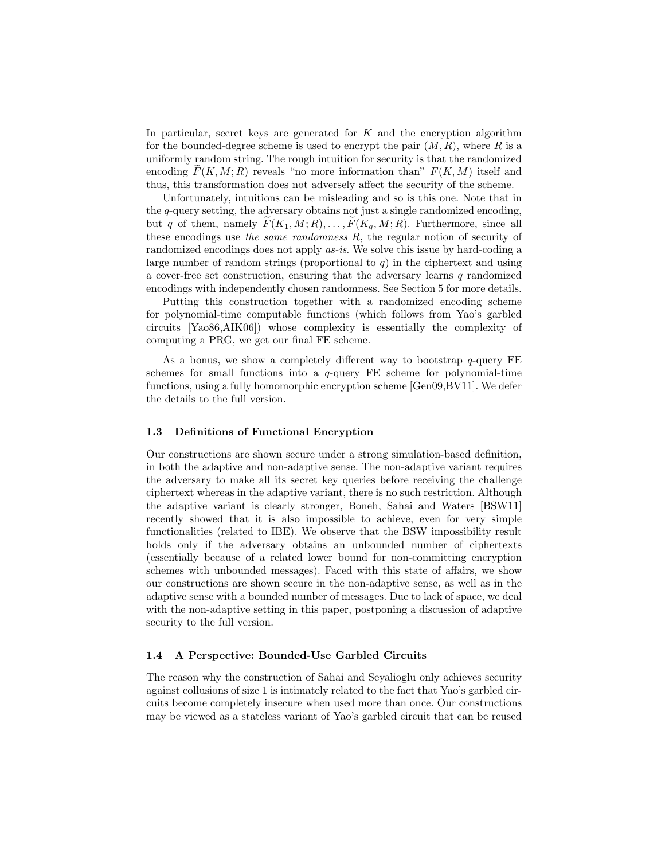In particular, secret keys are generated for  $K$  and the encryption algorithm for the bounded-degree scheme is used to encrypt the pair  $(M, R)$ , where R is a uniformly random string. The rough intuition for security is that the randomized encoding  $F(K, M; R)$  reveals "no more information than"  $F(K, M)$  itself and thus, this transformation does not adversely affect the security of the scheme.

Unfortunately, intuitions can be misleading and so is this one. Note that in the q-query setting, the adversary obtains not just a single randomized encoding, but q of them, namely  $\widetilde{F}(K_1, M; R), \ldots, \widetilde{F}(K_q, M; R)$ . Furthermore, since all these encodings use the same randomness  $R$ , the regular notion of security of randomized encodings does not apply *as-is*. We solve this issue by hard-coding a large number of random strings (proportional to  $q$ ) in the ciphertext and using a cover-free set construction, ensuring that the adversary learns  $q$  randomized encodings with independently chosen randomness. See Section 5 for more details.

Putting this construction together with a randomized encoding scheme for polynomial-time computable functions (which follows from Yao's garbled circuits [Yao86,AIK06]) whose complexity is essentially the complexity of computing a PRG, we get our final FE scheme.

As a bonus, we show a completely different way to bootstrap  $q$ -query FE schemes for small functions into a  $q$ -query FE scheme for polynomial-time functions, using a fully homomorphic encryption scheme [Gen09,BV11]. We defer the details to the full version.

#### 1.3 Definitions of Functional Encryption

Our constructions are shown secure under a strong simulation-based definition, in both the adaptive and non-adaptive sense. The non-adaptive variant requires the adversary to make all its secret key queries before receiving the challenge ciphertext whereas in the adaptive variant, there is no such restriction. Although the adaptive variant is clearly stronger, Boneh, Sahai and Waters [BSW11] recently showed that it is also impossible to achieve, even for very simple functionalities (related to IBE). We observe that the BSW impossibility result holds only if the adversary obtains an unbounded number of ciphertexts (essentially because of a related lower bound for non-committing encryption schemes with unbounded messages). Faced with this state of affairs, we show our constructions are shown secure in the non-adaptive sense, as well as in the adaptive sense with a bounded number of messages. Due to lack of space, we deal with the non-adaptive setting in this paper, postponing a discussion of adaptive security to the full version.

#### 1.4 A Perspective: Bounded-Use Garbled Circuits

The reason why the construction of Sahai and Seyalioglu only achieves security against collusions of size 1 is intimately related to the fact that Yao's garbled circuits become completely insecure when used more than once. Our constructions may be viewed as a stateless variant of Yao's garbled circuit that can be reused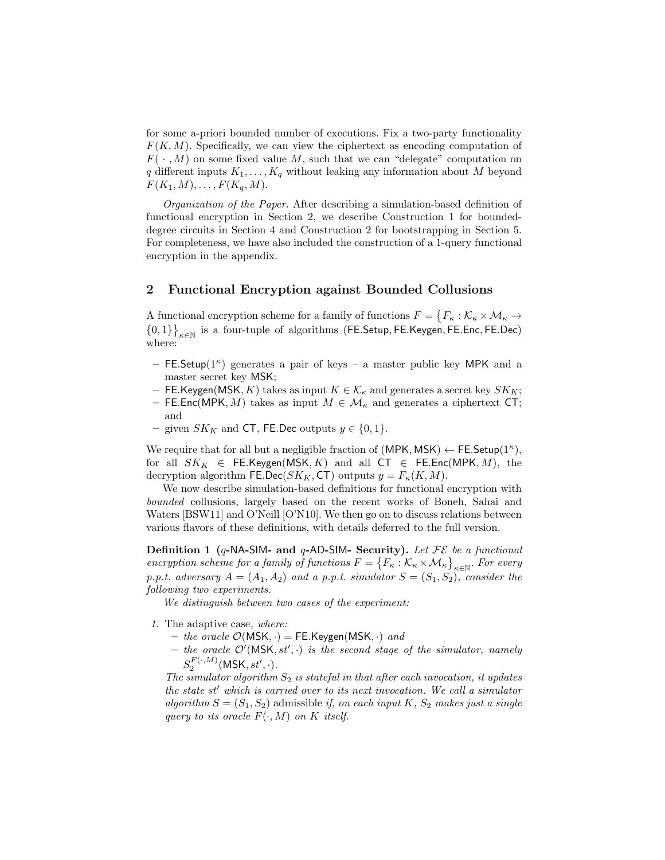for some a-priori bounded number of executions. Fix a two-party functionality  $F(K, M)$ . Specifically, we can view the ciphertext as encoding computation of  $F(\cdot, M)$  on some fixed value M, such that we can "delegate" computation on q different inputs  $K_1, \ldots, K_q$  without leaking any information about M beyond  $F(K_1, M), \ldots, F(K_q, M).$ 

Organization of the Paper. After describing a simulation-based definition of functional encryption in Section 2, we describe Construction 1 for boundeddegree circuits in Section 4 and Construction 2 for bootstrapping in Section 5. For completeness, we have also included the construction of a 1-query functional encryption in the appendix.

### 2 Functional Encryption against Bounded Collusions

A functional encryption scheme for a family of functions  $F = \{F_{\kappa} : \mathcal{K}_{\kappa} \times \mathcal{M}_{\kappa} \to$  $\left\{0,1\right\}\right\}_{\kappa\in\mathbb{N}}$  is a four-tuple of algorithms (FE.Setup, FE.Keygen, FE.Enc, FE.Dec) where:

- $-$  FE. Setup( $1^{\kappa}$ ) generates a pair of keys a master public key MPK and a master secret key MSK;
- FE.Keygen(MSK, K) takes as input  $K \in \mathcal{K}_{\kappa}$  and generates a secret key  $SK_K$ ;
- FE.Enc(MPK, M) takes as input  $M \in \mathcal{M}_{\kappa}$  and generates a ciphertext CT; and
- given  $SK_K$  and CT, FE.Dec outputs  $y \in \{0, 1\}$ .

We require that for all but a negligible fraction of  $(MPK, MSK) \leftarrow FE.Setup(1^{\kappa}),$ for all  $SK_K \in {\sf FE.Keygen(MSK, K)}$  and all  $CT \in {\sf FE.Enc(MPK, M)}$ , the decryption algorithm FE.Dec( $SK_K$ , CT) outputs  $y = F_{\kappa}(K, M)$ .

We now describe simulation-based definitions for functional encryption with bounded collusions, largely based on the recent works of Boneh, Sahai and Waters [BSW11] and O'Neill [O'N10]. We then go on to discuss relations between various flavors of these definitions, with details deferred to the full version.

**Definition 1** (q-NA-SIM- and q-AD-SIM- Security). Let  $\mathcal{FE}$  be a functional encryption scheme for a family of functions  $F = \{F_\kappa : \mathcal{K}_\kappa \times \mathcal{M}_\kappa\}_{\kappa \in \mathbb{N}}$ . For every p.p.t. adversary  $A = (A_1, A_2)$  and a p.p.t. simulator  $S = (S_1, S_2)$ , consider the following two experiments.

We distinguish between two cases of the experiment:

- 1. The adaptive case, where:
	- the oracle  $\mathcal{O}(MSK, \cdot) = FE.Keygen(MSK, \cdot)$  and
	- the oracle  $\mathcal{O}'(\text{MSK}, st', \cdot)$  is the second stage of the simulator, namely  $S_2^{F(\cdot,M)}(\mathsf{MSK},\mathit{st}',\cdot).$

The simulator algorithm  $S_2$  is stateful in that after each invocation, it updates the state st<sup> $\prime$ </sup> which is carried over to its next invocation. We call a simulator algorithm  $S = (S_1, S_2)$  admissible if, on each input K,  $S_2$  makes just a single query to its oracle  $F(\cdot, M)$  on K itself.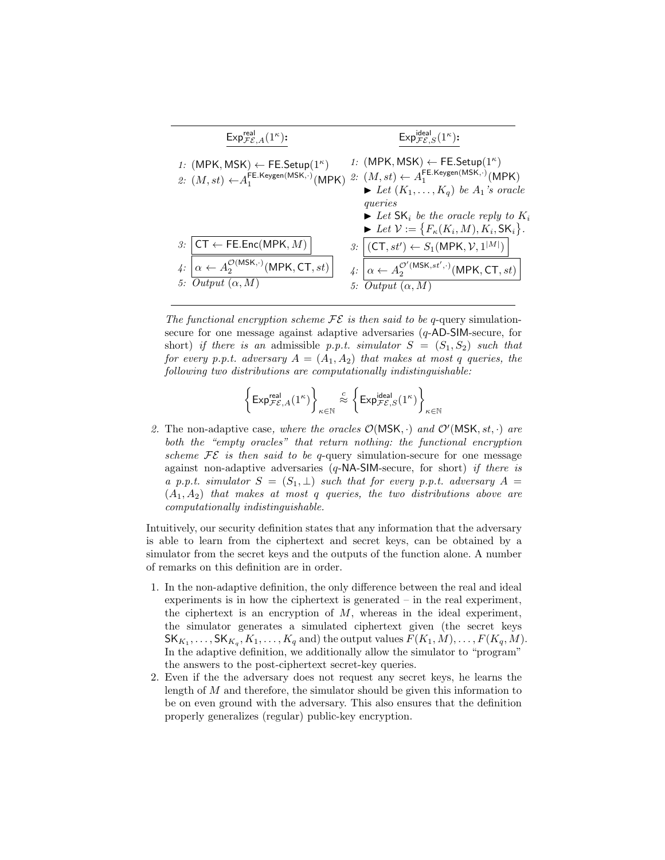|                 | $\mathsf{Exp}_{\mathcal{FE},A}^{\mathsf{real}}(1^{\kappa})$ :                                                                                       | $Exp_{\mathcal{FE},S}^{\mathsf{ideal}}(1^{\kappa})$ :                                                                                                                                                                                                                                                                                                                                                 |
|-----------------|-----------------------------------------------------------------------------------------------------------------------------------------------------|-------------------------------------------------------------------------------------------------------------------------------------------------------------------------------------------------------------------------------------------------------------------------------------------------------------------------------------------------------------------------------------------------------|
|                 | 1: (MPK, MSK) $\leftarrow$ FE. Setup $(1^{\kappa})$<br>2: $(M, st) \leftarrow A_1^{\mathsf{FE}.\mathsf{Keygen}(\mathsf{MSK}, \cdot)}(\mathsf{MPK})$ | 1: (MPK, MSK) $\leftarrow$ FE. Setup $(1^{\kappa})$<br>$\mathit{\mathit{2}\mathit{: }(M,st)\leftarrow A_{1}^{\sf FE.Keygen(MSK,\cdot)}(\sf{MPK})}$<br>$\blacktriangleright$ Let $(K_1, \ldots, K_q)$ be $A_1$ 's oracle<br>queries<br>$\blacktriangleright$ Let SK <sub>i</sub> be the oracle reply to K <sub>i</sub><br>$\blacktriangleright$ Let $V := \{F_{\kappa}(K_i, M), K_i, \mathsf{SK}_i\}.$ |
|                 | <i>3:</i> $ $ CT ← FE.Enc(MPK, M) $ $                                                                                                               | 3: $(CT, st') \leftarrow S_1(MPK, \mathcal{V}, 1^{ M })$                                                                                                                                                                                                                                                                                                                                              |
| $\frac{1}{4}$ : | $\left[\alpha \leftarrow A_2^{\mathcal{O}(MSK,\cdot)}(MPK,CT,st)\right]$<br>5: Output $(\alpha, M)$                                                 | $4: \left[ \alpha \leftarrow A_2^{\mathcal{O}'(\mathsf{MSK},st',\cdot)}(\mathsf{MPK},\mathsf{CT},st) \right]$<br>5: Output $(\alpha, M)$                                                                                                                                                                                                                                                              |

The functional encryption scheme  $\mathcal{FE}$  is then said to be q-query simulationsecure for one message against adaptive adversaries (q-AD-SIM-secure, for short) if there is an admissible p.p.t. simulator  $S = (S_1, S_2)$  such that for every p.p.t. adversary  $A = (A_1, A_2)$  that makes at most q queries, the following two distributions are computationally indistinguishable:

$$
\left\{\mathsf{Exp}^{\mathrm{real}}_{\mathcal{FE},A}(1^{\kappa})\right\}_{\kappa\in\mathbb{N}}\stackrel{c}{\approx} \left\{\mathsf{Exp}^{\mathrm{ideal}}_{\mathcal{FE},S}(1^{\kappa})\right\}_{\kappa\in\mathbb{N}}
$$

2. The non-adaptive case, where the oracles  $\mathcal{O}(\mathsf{MSK}, \cdot)$  and  $\mathcal{O}'(\mathsf{MSK}, st, \cdot)$  are both the "empty oracles" that return nothing: the functional encryption scheme  $\mathcal{FE}$  is then said to be q-query simulation-secure for one message against non-adaptive adversaries  $(q-NA-SIM\text{-}secure, for short)$  if there is a p.p.t. simulator  $S = (S_1, \perp)$  such that for every p.p.t. adversary  $A =$  $(A_1, A_2)$  that makes at most q queries, the two distributions above are computationally indistinguishable.

Intuitively, our security definition states that any information that the adversary is able to learn from the ciphertext and secret keys, can be obtained by a simulator from the secret keys and the outputs of the function alone. A number of remarks on this definition are in order.

- 1. In the non-adaptive definition, the only difference between the real and ideal experiments is in how the ciphertext is generated – in the real experiment, the ciphertext is an encryption of  $M$ , whereas in the ideal experiment, the simulator generates a simulated ciphertext given (the secret keys  $\mathsf{SK}_{K_1},\ldots,\mathsf{SK}_{K_q},K_1,\ldots,K_q$  and) the output values  $F(K_1,M),\ldots,F(K_q,M).$ In the adaptive definition, we additionally allow the simulator to "program" the answers to the post-ciphertext secret-key queries.
- 2. Even if the the adversary does not request any secret keys, he learns the length of M and therefore, the simulator should be given this information to be on even ground with the adversary. This also ensures that the definition properly generalizes (regular) public-key encryption.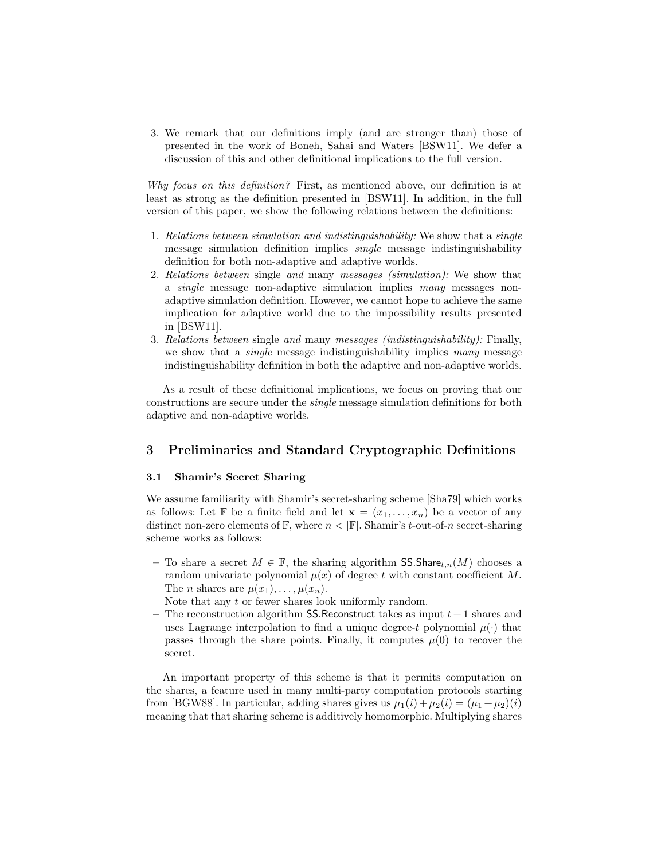3. We remark that our definitions imply (and are stronger than) those of presented in the work of Boneh, Sahai and Waters [BSW11]. We defer a discussion of this and other definitional implications to the full version.

Why focus on this definition? First, as mentioned above, our definition is at least as strong as the definition presented in [BSW11]. In addition, in the full version of this paper, we show the following relations between the definitions:

- 1. Relations between simulation and indistinguishability: We show that a single message simulation definition implies *single* message indistinguishability definition for both non-adaptive and adaptive worlds.
- 2. Relations between single and many messages (simulation): We show that a single message non-adaptive simulation implies many messages nonadaptive simulation definition. However, we cannot hope to achieve the same implication for adaptive world due to the impossibility results presented in [BSW11].
- 3. Relations between single and many messages (indistinguishability): Finally, we show that a *single* message indistinguishability implies *many* message indistinguishability definition in both the adaptive and non-adaptive worlds.

As a result of these definitional implications, we focus on proving that our constructions are secure under the single message simulation definitions for both adaptive and non-adaptive worlds.

### 3 Preliminaries and Standard Cryptographic Definitions

#### 3.1 Shamir's Secret Sharing

We assume familiarity with Shamir's secret-sharing scheme [Sha79] which works as follows: Let F be a finite field and let  $\mathbf{x} = (x_1, \ldots, x_n)$  be a vector of any distinct non-zero elements of  $\mathbb{F}$ , where  $n < |\mathbb{F}|$ . Shamir's t-out-of-n secret-sharing scheme works as follows:

- To share a secret  $M \in \mathbb{F}$ , the sharing algorithm SS.Share $t_n(M)$  chooses a random univariate polynomial  $\mu(x)$  of degree t with constant coefficient M. The *n* shares are  $\mu(x_1), \ldots, \mu(x_n)$ .
- Note that any t or fewer shares look uniformly random.
- The reconstruction algorithm SS.Reconstruct takes as input  $t+1$  shares and uses Lagrange interpolation to find a unique degree-t polynomial  $\mu(\cdot)$  that passes through the share points. Finally, it computes  $\mu(0)$  to recover the secret.

An important property of this scheme is that it permits computation on the shares, a feature used in many multi-party computation protocols starting from [BGW88]. In particular, adding shares gives us  $\mu_1(i) + \mu_2(i) = (\mu_1 + \mu_2)(i)$ meaning that that sharing scheme is additively homomorphic. Multiplying shares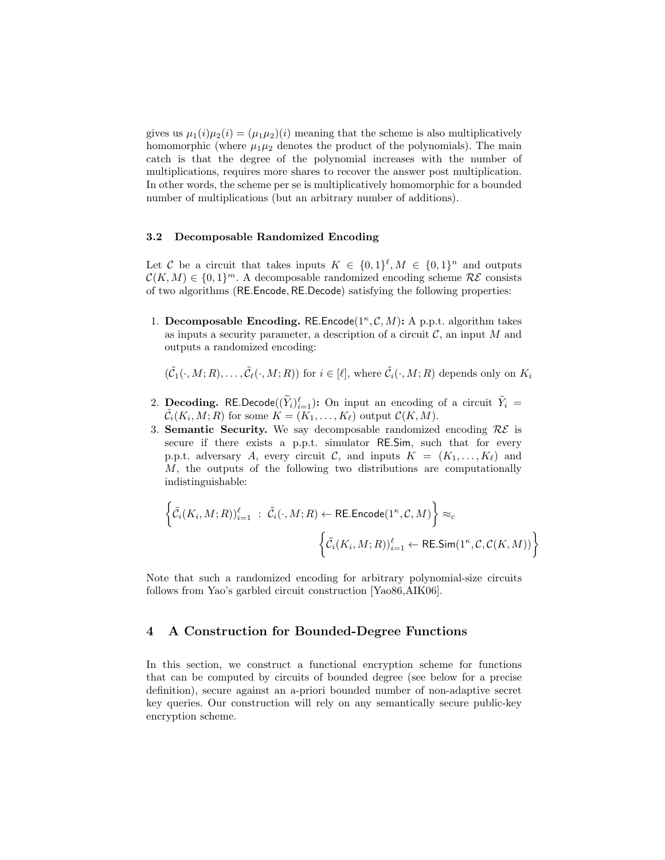gives us  $\mu_1(i)\mu_2(i) = (\mu_1\mu_2)(i)$  meaning that the scheme is also multiplicatively homomorphic (where  $\mu_1\mu_2$  denotes the product of the polynomials). The main catch is that the degree of the polynomial increases with the number of multiplications, requires more shares to recover the answer post multiplication. In other words, the scheme per se is multiplicatively homomorphic for a bounded number of multiplications (but an arbitrary number of additions).

#### 3.2 Decomposable Randomized Encoding

Let C be a circuit that takes inputs  $K \in \{0,1\}^{\ell}, M \in \{0,1\}^n$  and outputs  $\mathcal{C}(K, M) \in \{0, 1\}^m$ . A decomposable randomized encoding scheme  $\mathcal{RE}$  consists of two algorithms (RE.Encode, RE.Decode) satisfying the following properties:

1. Decomposable Encoding. RE. Encode $(1^{\kappa}, \mathcal{C}, M)$ : A p.p.t. algorithm takes as inputs a security parameter, a description of a circuit  $\mathcal{C}$ , an input M and outputs a randomized encoding:

 $(\tilde{C}_1(\cdot, M; R), \ldots, \tilde{C}_{\ell}(\cdot, M; R))$  for  $i \in [\ell],$  where  $\tilde{C}_i(\cdot, M; R)$  depends only on  $K_i$ 

- 2. **Decoding.** RE.Decode $((\widetilde{Y}_i)_{i=1}^{\ell})$ : On input an encoding of a circuit  $\widetilde{Y}_i = \widetilde{Z}(X_i)$  $\widetilde{\mathcal{C}}_i(K_i,M;R)$  for some  $K = (K_1,\ldots,K_\ell)$  output  $\mathcal{C}(K,M)$ .
- 3. Semantic Security. We say decomposable randomized encoding  $\mathcal{RE}$  is secure if there exists a p.p.t. simulator RE.Sim, such that for every p.p.t. adversary A, every circuit C, and inputs  $K = (K_1, \ldots, K_\ell)$  and M, the outputs of the following two distributions are computationally indistinguishable:

$$
\left\{\tilde{\mathcal{C}}_i(K_i,M;R))_{i=1}^{\ell} \ : \ \tilde{\mathcal{C}}_i(\cdot,M;R) \leftarrow \mathsf{RE}.\mathsf{Encode}(1^\kappa,\mathcal{C},M)\right\} \approx_c
$$
\n
$$
\left\{\tilde{\mathcal{C}}_i(K_i,M;R))_{i=1}^{\ell} \leftarrow \mathsf{RE}.\mathsf{Sim}(1^\kappa,\mathcal{C},\mathcal{C}(K,M))\right\}
$$

Note that such a randomized encoding for arbitrary polynomial-size circuits follows from Yao's garbled circuit construction [Yao86,AIK06].

### 4 A Construction for Bounded-Degree Functions

In this section, we construct a functional encryption scheme for functions that can be computed by circuits of bounded degree (see below for a precise definition), secure against an a-priori bounded number of non-adaptive secret key queries. Our construction will rely on any semantically secure public-key encryption scheme.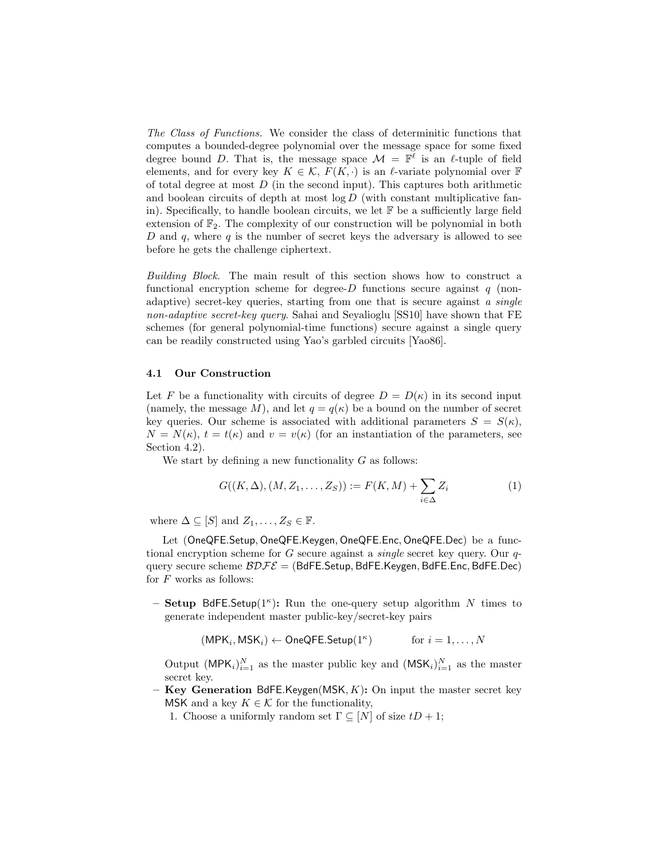The Class of Functions. We consider the class of determinitic functions that computes a bounded-degree polynomial over the message space for some fixed degree bound D. That is, the message space  $\mathcal{M} = \mathbb{F}^{\ell}$  is an  $\ell$ -tuple of field elements, and for every key  $K \in \mathcal{K}$ ,  $F(K, \cdot)$  is an  $\ell$ -variate polynomial over  $\mathbb F$ of total degree at most  $D$  (in the second input). This captures both arithmetic and boolean circuits of depth at most  $log D$  (with constant multiplicative fanin). Specifically, to handle boolean circuits, we let  $\mathbb F$  be a sufficiently large field extension of  $\mathbb{F}_2$ . The complexity of our construction will be polynomial in both D and  $q$ , where  $q$  is the number of secret keys the adversary is allowed to see before he gets the challenge ciphertext.

Building Block. The main result of this section shows how to construct a functional encryption scheme for degree- $D$  functions secure against  $q$  (nonadaptive) secret-key queries, starting from one that is secure against a single non-adaptive secret-key query. Sahai and Seyalioglu [SS10] have shown that FE schemes (for general polynomial-time functions) secure against a single query can be readily constructed using Yao's garbled circuits [Yao86].

#### 4.1 Our Construction

Let F be a functionality with circuits of degree  $D = D(\kappa)$  in its second input (namely, the message M), and let  $q = q(\kappa)$  be a bound on the number of secret key queries. Our scheme is associated with additional parameters  $S = S(\kappa)$ ,  $N = N(\kappa)$ ,  $t = t(\kappa)$  and  $v = v(\kappa)$  (for an instantiation of the parameters, see Section 4.2).

We start by defining a new functionality  $G$  as follows:

$$
G((K, \Delta), (M, Z_1, \dots, Z_S)) := F(K, M) + \sum_{i \in \Delta} Z_i
$$
 (1)

where  $\Delta \subseteq [S]$  and  $Z_1, \ldots, Z_S \in \mathbb{F}$ .

Let (OneQFE.Setup, OneQFE.Keygen, OneQFE.Enc, OneQFE.Dec) be a functional encryption scheme for G secure against a single secret key query. Our qquery secure scheme  $BDFE = (BdFE.Setup, BdFE.Keygen, BdFE.Enc, BdFE.Dec)$ for  $F$  works as follows:

- Setup BdFE.Setup( $1^{\kappa}$ ): Run the one-query setup algorithm N times to generate independent master public-key/secret-key pairs

$$
(\text{MPK}_i, \text{MSK}_i) \leftarrow \text{OneQFE}.\text{Setup}(1^{\kappa})
$$
 for  $i = 1, ..., N$ 

Output (MPK<sub>i</sub>)<sup>N</sup><sub>i=1</sub> as the master public key and (MSK<sub>i</sub>)<sup>N</sup><sub>i=1</sub> as the master secret key.

- Key Generation BdFE.Keygen(MSK, K): On input the master secret key MSK and a key  $K \in \mathcal{K}$  for the functionality,
	- 1. Choose a uniformly random set  $\Gamma \subseteq [N]$  of size  $tD + 1$ ;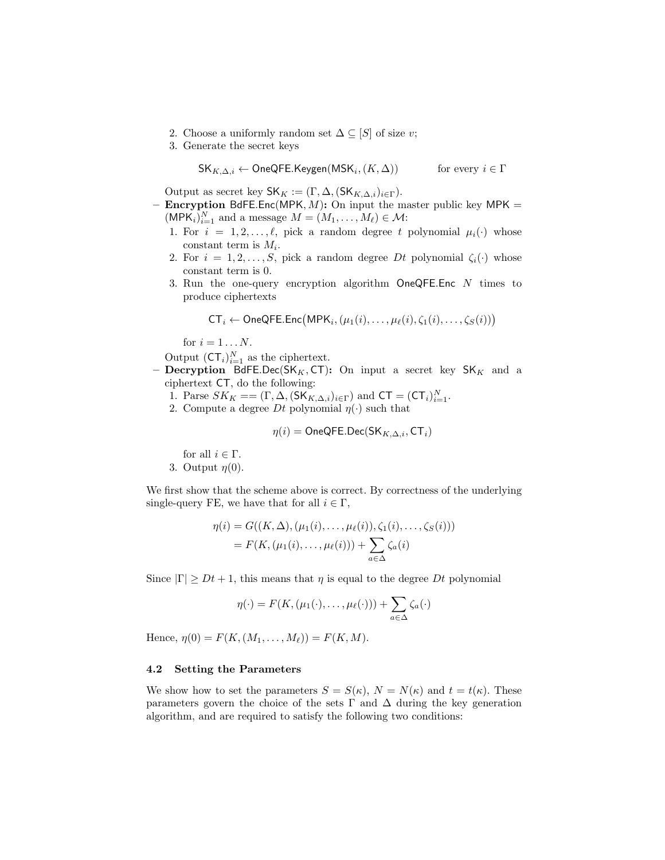- 2. Choose a uniformly random set  $\Delta \subseteq [S]$  of size v;
- 3. Generate the secret keys

$$
\mathsf{SK}_{K,\Delta,i} \leftarrow \mathsf{OneQFE}.\mathsf{Keygen}(\mathsf{MSK}_i,(K,\Delta)) \qquad \text{for every } i \in \Gamma
$$

Output as secret key  $\mathsf{SK}_K := (\Gamma, \Delta, (\mathsf{SK}_{K,\Delta,i})_{i \in \Gamma}).$ 

- **Encryption BdFE.Enc(MPK, M):** On input the master public key MPK =  $(MPK<sub>i</sub>)<sub>i=1</sub><sup>N</sup>$  and a message  $M = (M_1, \ldots, M_\ell) \in \mathcal{M}$ :
	- 1. For  $i = 1, 2, \ldots, \ell$ , pick a random degree t polynomial  $\mu_i(\cdot)$  whose constant term is  $M_i$ .
	- 2. For  $i = 1, 2, ..., S$ , pick a random degree Dt polynomial  $\zeta_i(\cdot)$  whose constant term is 0.
	- 3. Run the one-query encryption algorithm  $OneQFEEnc N$  times to produce ciphertexts

$$
\mathsf{CT}_i \leftarrow \mathsf{OneQFE}.\mathsf{Enc}\big(\mathsf{MPK}_i, (\mu_1(i), \ldots, \mu_\ell(i), \zeta_1(i), \ldots, \zeta_S(i))\big)
$$

for  $i = 1 \dots N$ .

Output  $(CT_i)_{i=1}^N$  as the ciphertext.

- Decryption BdFE.Dec(SK<sub>K</sub>, CT): On input a secret key  $SK_K$  and a ciphertext CT, do the following:
	- 1. Parse  $SK_K = (\Gamma, \Delta, (SK_{K,\Delta,i})_{i \in \Gamma})$  and  $CT = (CT_i)_{i=1}^N$ .
	- 2. Compute a degree Dt polynomial  $\eta(\cdot)$  such that

$$
\eta(i) = \mathsf{OneQFE}.\mathsf{Dec}(\mathsf{SK}_{K,\Delta,i},\mathsf{CT}_i)
$$

for all  $i \in \Gamma$ . 3. Output  $\eta(0)$ .

We first show that the scheme above is correct. By correctness of the underlying single-query FE, we have that for all  $i \in \Gamma$ ,

$$
\eta(i) = G((K, \Delta), (\mu_1(i), \dots, \mu_\ell(i)), \zeta_1(i), \dots, \zeta_s(i))) \n= F(K, (\mu_1(i), \dots, \mu_\ell(i))) + \sum_{a \in \Delta} \zeta_a(i)
$$

Since  $|\Gamma| \ge Dt + 1$ , this means that  $\eta$  is equal to the degree Dt polynomial

$$
\eta(\cdot) = F(K, (\mu_1(\cdot), \dots, \mu_\ell(\cdot))) + \sum_{a \in \Delta} \zeta_a(\cdot)
$$

Hence,  $\eta(0) = F(K,(M_1,\ldots,M_\ell)) = F(K,M).$ 

#### 4.2 Setting the Parameters

We show how to set the parameters  $S = S(\kappa)$ ,  $N = N(\kappa)$  and  $t = t(\kappa)$ . These parameters govern the choice of the sets  $\Gamma$  and  $\Delta$  during the key generation algorithm, and are required to satisfy the following two conditions: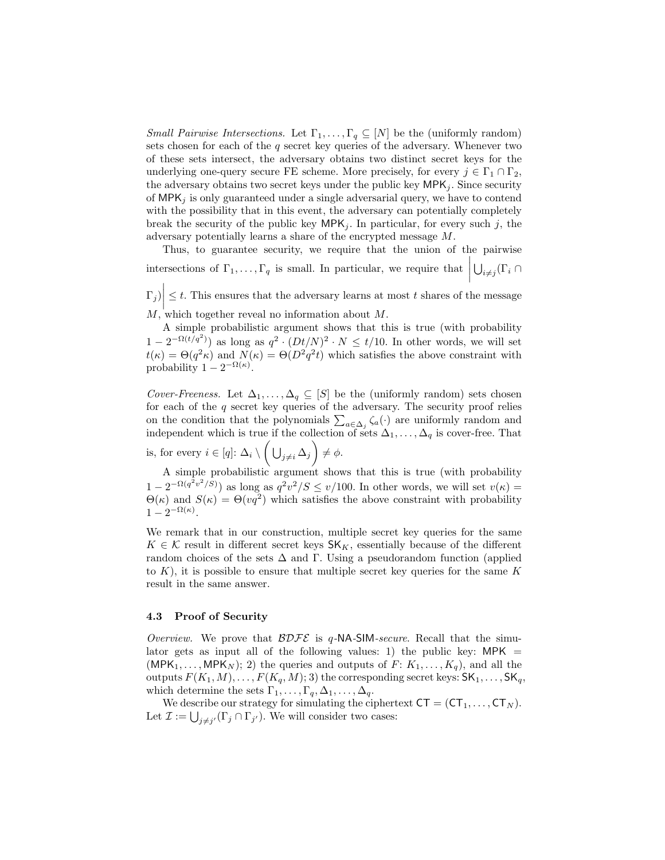*Small Pairwise Intersections.* Let  $\Gamma_1, \ldots, \Gamma_q \subseteq [N]$  be the (uniformly random) sets chosen for each of the  $q$  secret key queries of the adversary. Whenever two of these sets intersect, the adversary obtains two distinct secret keys for the underlying one-query secure FE scheme. More precisely, for every  $j \in \Gamma_1 \cap \Gamma_2$ , the adversary obtains two secret keys under the public key  $\mathsf{MPK}_i$ . Since security of  $MPK_i$  is only guaranteed under a single adversarial query, we have to contend with the possibility that in this event, the adversary can potentially completely break the security of the public key  $\mathsf{MPK}_j$ . In particular, for every such j, the adversary potentially learns a share of the encrypted message M.

Thus, to guarantee security, we require that the union of the pairwise intersections of  $\Gamma_1, \ldots, \Gamma_q$  is small. In particular, we require that  $\Big| \bigcup_{i \neq j} (\Gamma_i \cap$  $\overline{\phantom{a}}$ 

 $|\Gamma_j\rangle\Big|\leq t.$  This ensures that the adversary learns at most t shares of the message  $M,$  which together reveal no information about M.

A simple probabilistic argument shows that this is true (with probability  $1-2^{-\Omega(t/q^2)}$  as long as  $q^2 \cdot (Dt/N)^2 \cdot N \leq t/10$ . In other words, we will set  $t(\kappa) = \Theta(q^2 \kappa)$  and  $N(\kappa) = \Theta(D^2 q^2 t)$  which satisfies the above constraint with probability  $1 - 2^{-\Omega(\kappa)}$ .

Cover-Freeness. Let  $\Delta_1, \ldots, \Delta_q \subseteq [S]$  be the (uniformly random) sets chosen for each of the  $q$  secret key queries of the adversary. The security proof relies on the condition that the polynomials  $\sum_{a \in \Delta_j} \zeta_a(\cdot)$  are uniformly random and independent which is true if the collection of sets  $\Delta_1, \ldots, \Delta_q$  is cover-free. That is, for every  $i \in [q]: \Delta_i \setminus \left( \bigcup_{j \neq i} \Delta_j \right) \neq \phi$ .

A simple probabilistic argument shows that this is true (with probability  $(1-2^{-\Omega(q^2v^2/S)})$  as long as  $q^2v^2/S \le v/100$ . In other words, we will set  $v(\kappa) =$  $\Theta(\kappa)$  and  $S(\kappa) = \Theta(vq^2)$  which satisfies the above constraint with probability  $1-2^{-\Omega(\kappa)}.$ 

We remark that in our construction, multiple secret key queries for the same  $K \in \mathcal{K}$  result in different secret keys  $\mathsf{SK}_K$ , essentially because of the different random choices of the sets  $\Delta$  and  $\Gamma$ . Using a pseudorandom function (applied to  $K$ ), it is possible to ensure that multiple secret key queries for the same  $K$ result in the same answer.

#### 4.3 Proof of Security

*Overview.* We prove that  $BDFE$  is q-NA-SIM-secure. Recall that the simulator gets as input all of the following values: 1) the public key:  $MPK =$  $(MPK<sub>1</sub>, ..., MR<sub>N</sub>)$ ; 2) the queries and outputs of  $F: K<sub>1</sub>, ..., K<sub>q</sub>$ , and all the outputs  $F(K_1, M), \ldots, F(K_q, M); 3$  the corresponding secret keys:  $\mathsf{SK}_1, \ldots, \mathsf{SK}_q$ , which determine the sets  $\Gamma_1, \ldots, \Gamma_q, \Delta_1, \ldots, \Delta_q$ .

We describe our strategy for simulating the ciphertext  $CT = (CT_1, ..., CT_N)$ . Let  $\mathcal{I} := \bigcup_{j \neq j'} (\Gamma_j \cap \Gamma_{j'})$ . We will consider two cases: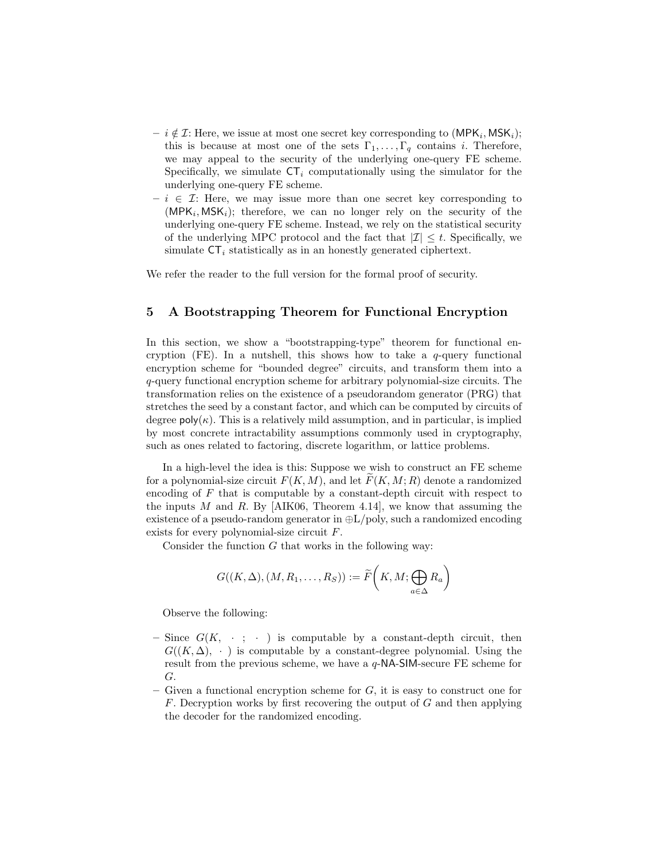- $i \notin \mathcal{I}$ : Here, we issue at most one secret key corresponding to (MPK<sub>i</sub>, MSK<sub>i</sub>); this is because at most one of the sets  $\Gamma_1, \ldots, \Gamma_q$  contains i. Therefore, we may appeal to the security of the underlying one-query FE scheme. Specifically, we simulate  $CT_i$  computationally using the simulator for the underlying one-query FE scheme.
- $-i \in \mathcal{I}$ : Here, we may issue more than one secret key corresponding to  $(MPK<sub>i</sub>, MSK<sub>i</sub>)$ ; therefore, we can no longer rely on the security of the underlying one-query FE scheme. Instead, we rely on the statistical security of the underlying MPC protocol and the fact that  $|\mathcal{I}| \leq t$ . Specifically, we simulate  $CT_i$  statistically as in an honestly generated ciphertext.

We refer the reader to the full version for the formal proof of security.

### 5 A Bootstrapping Theorem for Functional Encryption

In this section, we show a "bootstrapping-type" theorem for functional encryption (FE). In a nutshell, this shows how to take a  $q$ -query functional encryption scheme for "bounded degree" circuits, and transform them into a q-query functional encryption scheme for arbitrary polynomial-size circuits. The transformation relies on the existence of a pseudorandom generator (PRG) that stretches the seed by a constant factor, and which can be computed by circuits of degree  $\mathsf{poly}(\kappa)$ . This is a relatively mild assumption, and in particular, is implied by most concrete intractability assumptions commonly used in cryptography, such as ones related to factoring, discrete logarithm, or lattice problems.

In a high-level the idea is this: Suppose we wish to construct an FE scheme for a polynomial-size circuit  $F(K, M)$ , and let  $\widetilde{F}(K, M; R)$  denote a randomized encoding of  $F$  that is computable by a constant-depth circuit with respect to the inputs  $M$  and  $R$ . By [AIK06, Theorem 4.14], we know that assuming the existence of a pseudo-random generator in ⊕L/poly, such a randomized encoding exists for every polynomial-size circuit F.

Consider the function  $G$  that works in the following way:

$$
G((K,\Delta),(M,R_1,\ldots,R_S)) := \widetilde{F}\left(K,M;\bigoplus_{a\in\Delta}R_a\right)
$$

Observe the following:

- Since  $G(K, \cdot; \cdot)$  is computable by a constant-depth circuit, then  $G((K, \Delta), \cdot)$  is computable by a constant-degree polynomial. Using the result from the previous scheme, we have a q-NA-SIM-secure FE scheme for G.
- $-$  Given a functional encryption scheme for  $G$ , it is easy to construct one for  $F$ . Decryption works by first recovering the output of  $G$  and then applying the decoder for the randomized encoding.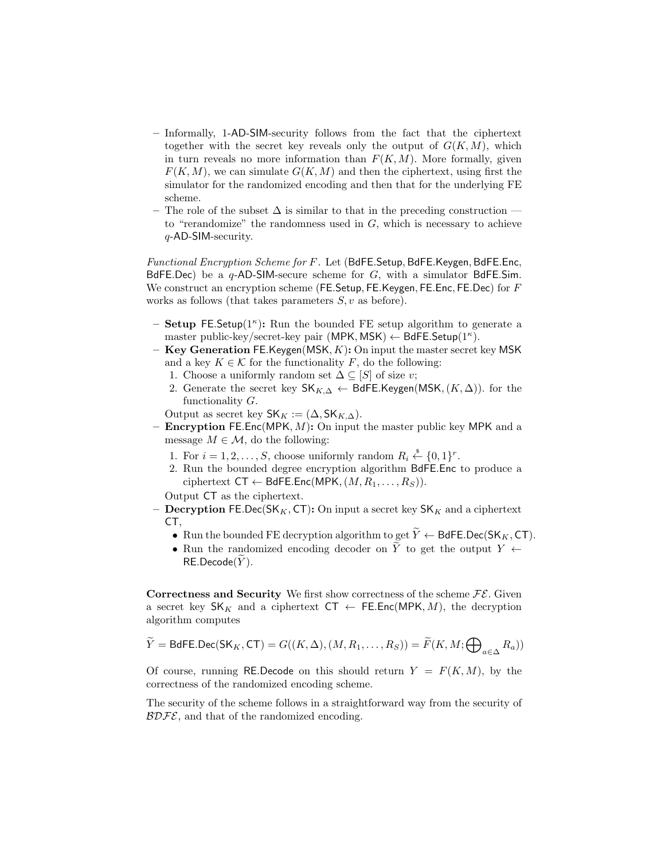- Informally, 1-AD-SIM-security follows from the fact that the ciphertext together with the secret key reveals only the output of  $G(K, M)$ , which in turn reveals no more information than  $F(K, M)$ . More formally, given  $F(K, M)$ , we can simulate  $G(K, M)$  and then the ciphertext, using first the simulator for the randomized encoding and then that for the underlying FE scheme.
- The role of the subset  $\Delta$  is similar to that in the preceding construction to "rerandomize" the randomness used in  $G$ , which is necessary to achieve q-AD-SIM-security.

Functional Encryption Scheme for F. Let (BdFE.Setup, BdFE.Keygen, BdFE.Enc, BdFE.Dec) be a  $q$ -AD-SIM-secure scheme for  $G$ , with a simulator BdFE.Sim. We construct an encryption scheme (FE.Setup, FE.Keygen, FE.Enc, FE.Dec) for F works as follows (that takes parameters  $S, v$  as before).

- Setup FE. Setup( $1^{\kappa}$ ): Run the bounded FE setup algorithm to generate a master public-key/secret-key pair  $(MPK, MSK) \leftarrow BdFE.Setup(1^{\kappa}).$
- Key Generation FE. Keygen (MSK, K): On input the master secret key MSK and a key  $K \in \mathcal{K}$  for the functionality F, do the following:
	- 1. Choose a uniformly random set  $\Delta \subseteq [S]$  of size v;
	- 2. Generate the secret key  $\mathsf{SK}_{K,\Delta} \leftarrow \mathsf{BdFE}$ . Keygen(MSK,  $(K,\Delta)$ ). for the functionality G.

Output as secret key  $SK_K := (\Delta, SK_{K,\Delta}).$ 

- Encryption FE.Enc(MPK,  $M$ ): On input the master public key MPK and a message  $M \in \mathcal{M}$ , do the following:
	- 1. For  $i = 1, 2, ..., S$ , choose uniformly random  $R_i \stackrel{\$}{\leftarrow} \{0, 1\}^r$ .
	- 2. Run the bounded degree encryption algorithm BdFE.Enc to produce a ciphertext  $CT \leftarrow$  BdFE.Enc(MPK,  $(M, R_1, \ldots, R_S)$ ).

Output CT as the ciphertext.

- Decryption FE.Dec(SK<sub>K</sub>, CT): On input a secret key  $SK_K$  and a ciphertext CT,
	- Run the bounded FE decryption algorithm to get  $\widetilde{Y} \leftarrow$  BdFE.Dec(SK<sub>K</sub>, CT).
	- Run the randomized encoding decoder on  $\widetilde{Y}$  to get the output  $Y \leftarrow$  $RE.Decode(Y).$

Correctness and Security We first show correctness of the scheme  $\mathcal{FE}$ . Given a secret key  $\mathsf{SK}_K$  and a ciphertext  $\mathsf{CT} \leftarrow \mathsf{FE}.\mathsf{Enc}(\mathsf{MPK}, M)$ , the decryption algorithm computes

$$
\widetilde{Y} = \mathsf{BdFE}.\mathsf{Dec}(\mathsf{SK}_K, \mathsf{CT}) = G((K, \Delta), (M, R_1, \dots, R_S)) = \widetilde{F}(K, M; \bigoplus\nolimits_{a \in \Delta} R_a))
$$

Of course, running RE.Decode on this should return  $Y = F(K, M)$ , by the correctness of the randomized encoding scheme.

The security of the scheme follows in a straightforward way from the security of  $BDF\mathcal{E}$ , and that of the randomized encoding.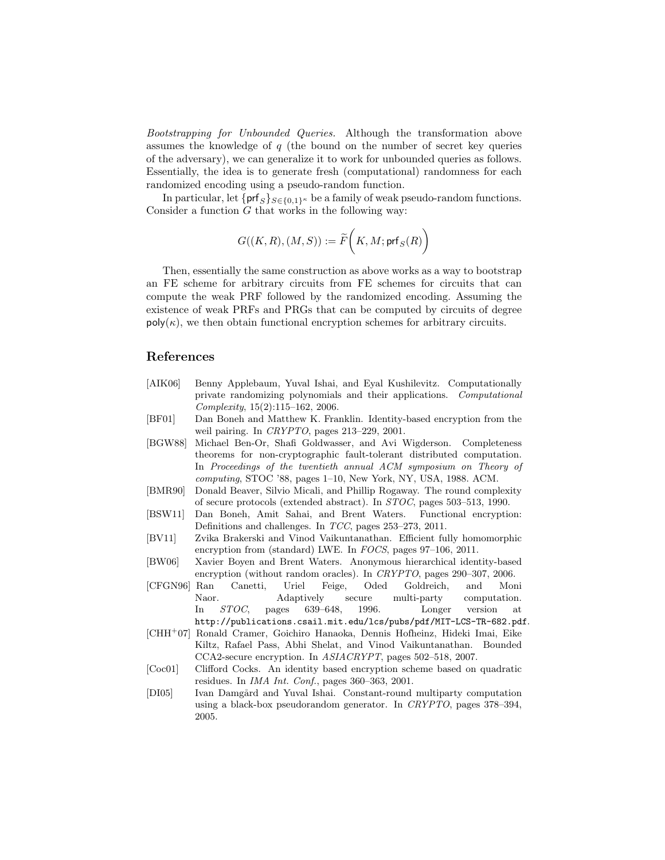Bootstrapping for Unbounded Queries. Although the transformation above assumes the knowledge of  $q$  (the bound on the number of secret key queries of the adversary), we can generalize it to work for unbounded queries as follows. Essentially, the idea is to generate fresh (computational) randomness for each randomized encoding using a pseudo-random function.

In particular, let  $\{\textsf{prf}_S\}_{S\in\{0,1\}^{\kappa}}$  be a family of weak pseudo-random functions. Consider a function  $G$  that works in the following way:

$$
G((K,R),(M,S)):=\widetilde{F}\bigg(K,M;\mathsf{prf}_S(R)\bigg)
$$

Then, essentially the same construction as above works as a way to bootstrap an FE scheme for arbitrary circuits from FE schemes for circuits that can compute the weak PRF followed by the randomized encoding. Assuming the existence of weak PRFs and PRGs that can be computed by circuits of degree  $\mathsf{poly}(\kappa)$ , we then obtain functional encryption schemes for arbitrary circuits.

### References

- [AIK06] Benny Applebaum, Yuval Ishai, and Eyal Kushilevitz. Computationally private randomizing polynomials and their applications. Computational Complexity, 15(2):115–162, 2006.
- [BF01] Dan Boneh and Matthew K. Franklin. Identity-based encryption from the weil pairing. In CRYPTO, pages 213–229, 2001.
- [BGW88] Michael Ben-Or, Shafi Goldwasser, and Avi Wigderson. Completeness theorems for non-cryptographic fault-tolerant distributed computation. In Proceedings of the twentieth annual ACM symposium on Theory of computing, STOC '88, pages 1–10, New York, NY, USA, 1988. ACM.
- [BMR90] Donald Beaver, Silvio Micali, and Phillip Rogaway. The round complexity of secure protocols (extended abstract). In STOC, pages 503–513, 1990.
- [BSW11] Dan Boneh, Amit Sahai, and Brent Waters. Functional encryption: Definitions and challenges. In TCC, pages 253–273, 2011.
- [BV11] Zvika Brakerski and Vinod Vaikuntanathan. Efficient fully homomorphic encryption from (standard) LWE. In FOCS, pages 97-106, 2011.
- [BW06] Xavier Boyen and Brent Waters. Anonymous hierarchical identity-based encryption (without random oracles). In CRYPTO, pages 290–307, 2006.
- [CFGN96] Ran Canetti, Uriel Feige, Oded Goldreich, and Moni Naor. Adaptively secure multi-party computation. In STOC, pages 639–648, 1996. Longer version at http://publications.csail.mit.edu/lcs/pubs/pdf/MIT-LCS-TR-682.pdf.
- [CHH<sup>+</sup>07] Ronald Cramer, Goichiro Hanaoka, Dennis Hofheinz, Hideki Imai, Eike Kiltz, Rafael Pass, Abhi Shelat, and Vinod Vaikuntanathan. Bounded CCA2-secure encryption. In ASIACRYPT, pages 502–518, 2007.
- [Coc01] Clifford Cocks. An identity based encryption scheme based on quadratic residues. In IMA Int. Conf., pages 360–363, 2001.
- [DI05] Ivan Damgård and Yuval Ishai. Constant-round multiparty computation using a black-box pseudorandom generator. In CRYPTO, pages 378–394, 2005.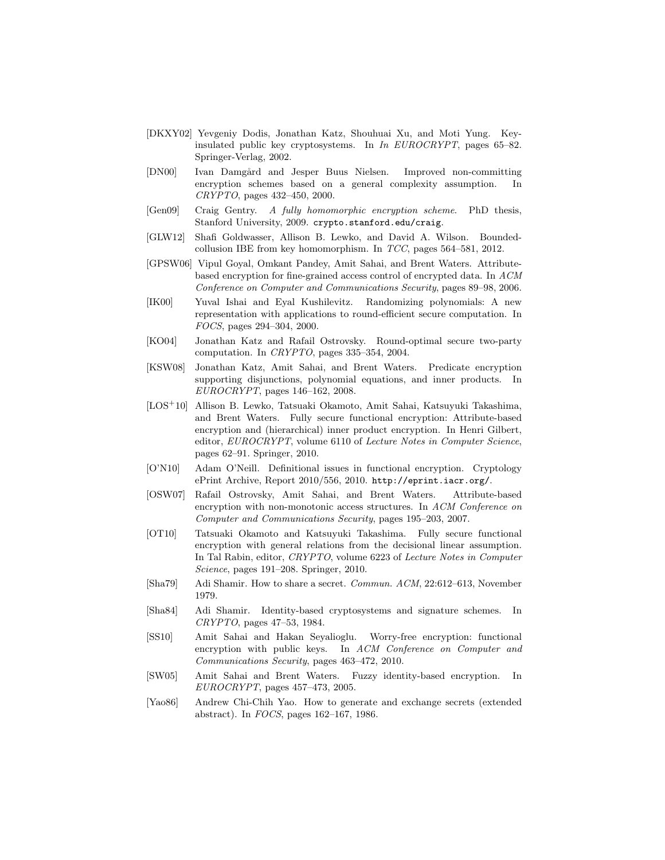- [DKXY02] Yevgeniy Dodis, Jonathan Katz, Shouhuai Xu, and Moti Yung. Keyinsulated public key cryptosystems. In  $In$  EUROCRYPT, pages 65–82. Springer-Verlag, 2002.
- [DN00] Ivan Damgård and Jesper Buus Nielsen. Improved non-committing encryption schemes based on a general complexity assumption. In CRYPTO, pages 432–450, 2000.
- [Gen09] Craig Gentry. A fully homomorphic encryption scheme. PhD thesis, Stanford University, 2009. crypto.stanford.edu/craig.
- [GLW12] Shafi Goldwasser, Allison B. Lewko, and David A. Wilson. Boundedcollusion IBE from key homomorphism. In TCC, pages 564–581, 2012.
- [GPSW06] Vipul Goyal, Omkant Pandey, Amit Sahai, and Brent Waters. Attributebased encryption for fine-grained access control of encrypted data. In ACM Conference on Computer and Communications Security, pages 89–98, 2006.
- [IK00] Yuval Ishai and Eyal Kushilevitz. Randomizing polynomials: A new representation with applications to round-efficient secure computation. In FOCS, pages 294–304, 2000.
- [KO04] Jonathan Katz and Rafail Ostrovsky. Round-optimal secure two-party computation. In CRYPTO, pages 335–354, 2004.
- [KSW08] Jonathan Katz, Amit Sahai, and Brent Waters. Predicate encryption supporting disjunctions, polynomial equations, and inner products. In EUROCRYPT, pages 146–162, 2008.
- [LOS<sup>+</sup>10] Allison B. Lewko, Tatsuaki Okamoto, Amit Sahai, Katsuyuki Takashima, and Brent Waters. Fully secure functional encryption: Attribute-based encryption and (hierarchical) inner product encryption. In Henri Gilbert, editor, EUROCRYPT, volume 6110 of Lecture Notes in Computer Science, pages 62–91. Springer, 2010.
- [O'N10] Adam O'Neill. Definitional issues in functional encryption. Cryptology ePrint Archive, Report 2010/556, 2010. http://eprint.iacr.org/.
- [OSW07] Rafail Ostrovsky, Amit Sahai, and Brent Waters. Attribute-based encryption with non-monotonic access structures. In ACM Conference on Computer and Communications Security, pages 195–203, 2007.
- [OT10] Tatsuaki Okamoto and Katsuyuki Takashima. Fully secure functional encryption with general relations from the decisional linear assumption. In Tal Rabin, editor, CRYPTO, volume 6223 of Lecture Notes in Computer Science, pages 191–208. Springer, 2010.
- [Sha79] Adi Shamir. How to share a secret. Commun. ACM, 22:612–613, November 1979.
- [Sha84] Adi Shamir. Identity-based cryptosystems and signature schemes. In CRYPTO, pages 47–53, 1984.
- [SS10] Amit Sahai and Hakan Seyalioglu. Worry-free encryption: functional encryption with public keys. In ACM Conference on Computer and Communications Security, pages 463–472, 2010.
- [SW05] Amit Sahai and Brent Waters. Fuzzy identity-based encryption. In EUROCRYPT, pages 457–473, 2005.
- [Yao86] Andrew Chi-Chih Yao. How to generate and exchange secrets (extended abstract). In FOCS, pages 162–167, 1986.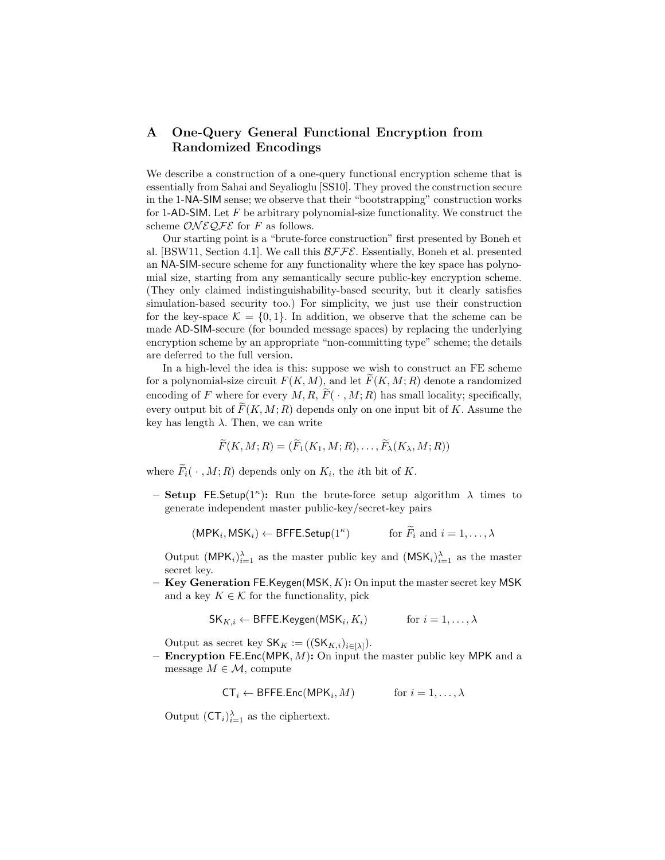## A One-Query General Functional Encryption from Randomized Encodings

We describe a construction of a one-query functional encryption scheme that is essentially from Sahai and Seyalioglu [SS10]. They proved the construction secure in the 1-NA-SIM sense; we observe that their "bootstrapping" construction works for 1-AD-SIM. Let  $F$  be arbitrary polynomial-size functionality. We construct the scheme  $\mathcal{ONEQFE}$  for F as follows.

Our starting point is a "brute-force construction" first presented by Boneh et al. [BSW11, Section 4.1]. We call this  $\mathcal{BFFE}$ . Essentially, Boneh et al. presented an NA-SIM-secure scheme for any functionality where the key space has polynomial size, starting from any semantically secure public-key encryption scheme. (They only claimed indistinguishability-based security, but it clearly satisfies simulation-based security too.) For simplicity, we just use their construction for the key-space  $\mathcal{K} = \{0, 1\}$ . In addition, we observe that the scheme can be made AD-SIM-secure (for bounded message spaces) by replacing the underlying encryption scheme by an appropriate "non-committing type" scheme; the details are deferred to the full version.

In a high-level the idea is this: suppose we wish to construct an FE scheme for a polynomial-size circuit  $F(K, M)$ , and let  $F(K, M; R)$  denote a randomized encoding of F where for every M, R,  $\widetilde{F}(\cdot, M; R)$  has small locality; specifically, every output bit of  $\widetilde{F}(K, M; R)$  depends only on one input bit of K. Assume the key has length  $\lambda$ . Then, we can write

$$
\widetilde{F}(K,M;R)=(\widetilde{F}_1(K_1,M;R),\ldots,\widetilde{F}_\lambda(K_\lambda,M;R))
$$

where  $F_i(\cdot, M; R)$  depends only on  $K_i$ , the *i*th bit of K.

- Setup FE.Setup(1<sup> $\kappa$ </sup>): Run the brute-force setup algorithm  $\lambda$  times to generate independent master public-key/secret-key pairs

$$
(\text{MPK}_i, \text{MSK}_i) \leftarrow \text{BFFE}.\text{Setup}(1^{\kappa})
$$
 for  $\widetilde{F}_i$  and  $i = 1, ..., \lambda$ 

Output  $(MPK<sub>i</sub>)<sub>i=1</sub><sup>\lambda</sup>$  as the master public key and  $(MSK<sub>i</sub>)<sub>i=1</sub><sup>\lambda</sup>$  as the master secret key.

– Key Generation FE. Keygen (MSK,  $K$ ): On input the master secret key MSK and a key  $K \in \mathcal{K}$  for the functionality, pick

$$
\mathsf{SK}_{K,i} \leftarrow \mathsf{BFFE}.\mathsf{Keygen}(\mathsf{MSK}_i, K_i) \qquad \text{for } i = 1, \ldots, \lambda
$$

Output as secret key  $SK_K := ((SK_{K,i})_{i \in [\lambda]})$ .

- Encryption FE.Enc(MPK,  $M$ ): On input the master public key MPK and a message  $M \in \mathcal{M}$ , compute

$$
CT_i \leftarrow \mathsf{BFFE}.\mathsf{Enc}(\mathsf{MPK}_i, M) \qquad \text{for } i = 1, \dots, \lambda
$$

Output  $(CT_i)_{i=1}^{\lambda}$  as the ciphertext.